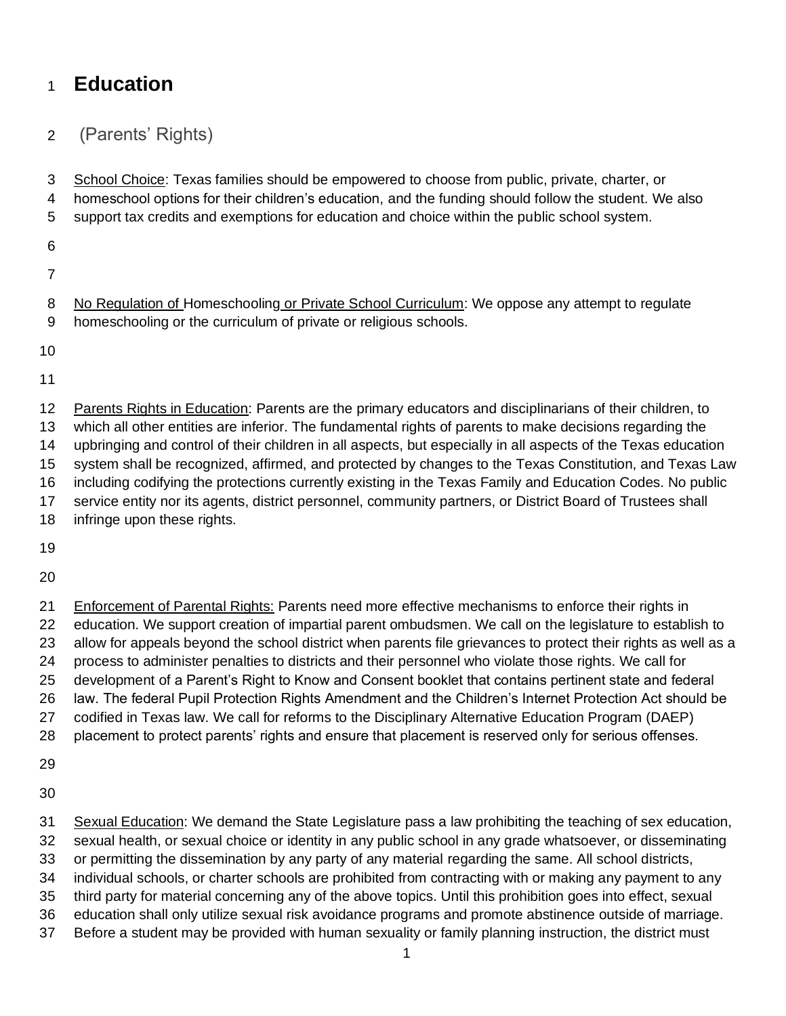## **Education**

## (Parents' Rights)

School Choice: Texas families should be empowered to choose from public, private, charter, or

homeschool options for their children's education, and the funding should follow the student. We also

support tax credits and exemptions for education and choice within the public school system.

- 
- 

 No Regulation of Homeschooling or Private School Curriculum: We oppose any attempt to regulate homeschooling or the curriculum of private or religious schools.

 Parents Rights in Education: Parents are the primary educators and disciplinarians of their children, to which all other entities are inferior. The fundamental rights of parents to make decisions regarding the upbringing and control of their children in all aspects, but especially in all aspects of the Texas education system shall be recognized, affirmed, and protected by changes to the Texas Constitution, and Texas Law including codifying the protections currently existing in the Texas Family and Education Codes. No public service entity nor its agents, district personnel, community partners, or District Board of Trustees shall infringe upon these rights.

 Enforcement of Parental Rights: Parents need more effective mechanisms to enforce their rights in education. We support creation of impartial parent ombudsmen. We call on the legislature to establish to allow for appeals beyond the school district when parents file grievances to protect their rights as well as a process to administer penalties to districts and their personnel who violate those rights. We call for development of a Parent's Right to Know and Consent booklet that contains pertinent state and federal law. The federal Pupil Protection Rights Amendment and the Children's Internet Protection Act should be codified in Texas law. We call for reforms to the Disciplinary Alternative Education Program (DAEP) placement to protect parents' rights and ensure that placement is reserved only for serious offenses.

 Sexual Education: We demand the State Legislature pass a law prohibiting the teaching of sex education, sexual health, or sexual choice or identity in any public school in any grade whatsoever, or disseminating or permitting the dissemination by any party of any material regarding the same. All school districts, individual schools, or charter schools are prohibited from contracting with or making any payment to any third party for material concerning any of the above topics. Until this prohibition goes into effect, sexual education shall only utilize sexual risk avoidance programs and promote abstinence outside of marriage.

Before a student may be provided with human sexuality or family planning instruction, the district must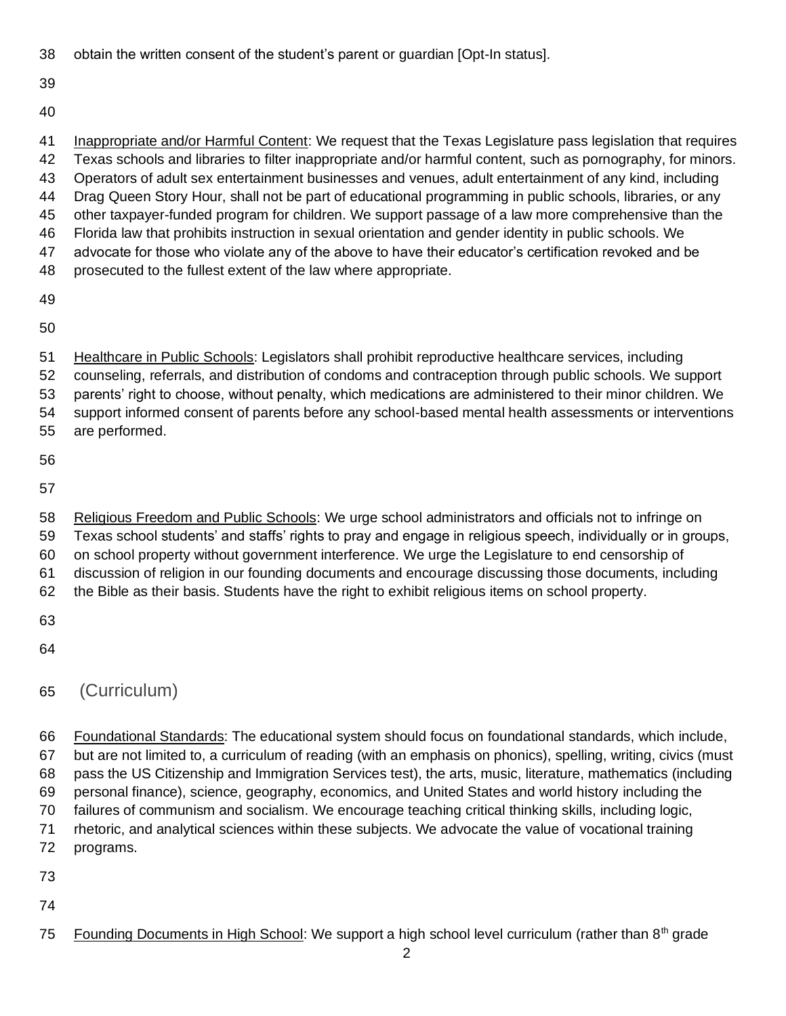obtain the written consent of the student's parent or guardian [Opt-In status].

- 
- 

 Inappropriate and/or Harmful Content: We request that the Texas Legislature pass legislation that requires Texas schools and libraries to filter inappropriate and/or harmful content, such as pornography, for minors. Operators of adult sex entertainment businesses and venues, adult entertainment of any kind, including Drag Queen Story Hour, shall not be part of educational programming in public schools, libraries, or any other taxpayer-funded program for children. We support passage of a law more comprehensive than the Florida law that prohibits instruction in sexual orientation and gender identity in public schools. We advocate for those who violate any of the above to have their educator's certification revoked and be

prosecuted to the fullest extent of the law where appropriate.

Healthcare in Public Schools: Legislators shall prohibit reproductive healthcare services, including

counseling, referrals, and distribution of condoms and contraception through public schools. We support

parents' right to choose, without penalty, which medications are administered to their minor children. We

- support informed consent of parents before any school-based mental health assessments or interventions are performed.
- 
- 

Religious Freedom and Public Schools: We urge school administrators and officials not to infringe on

 Texas school students' and staffs' rights to pray and engage in religious speech, individually or in groups, on school property without government interference. We urge the Legislature to end censorship of

discussion of religion in our founding documents and encourage discussing those documents, including

the Bible as their basis. Students have the right to exhibit religious items on school property.

- 
- 

(Curriculum)

 Foundational Standards: The educational system should focus on foundational standards, which include, but are not limited to, a curriculum of reading (with an emphasis on phonics), spelling, writing, civics (must pass the US Citizenship and Immigration Services test), the arts, music, literature, mathematics (including personal finance), science, geography, economics, and United States and world history including the failures of communism and socialism. We encourage teaching critical thinking skills, including logic, rhetoric, and analytical sciences within these subjects. We advocate the value of vocational training programs.

- 
- 
- 75 Founding Documents in High School: We support a high school level curriculum (rather than 8<sup>th</sup> grade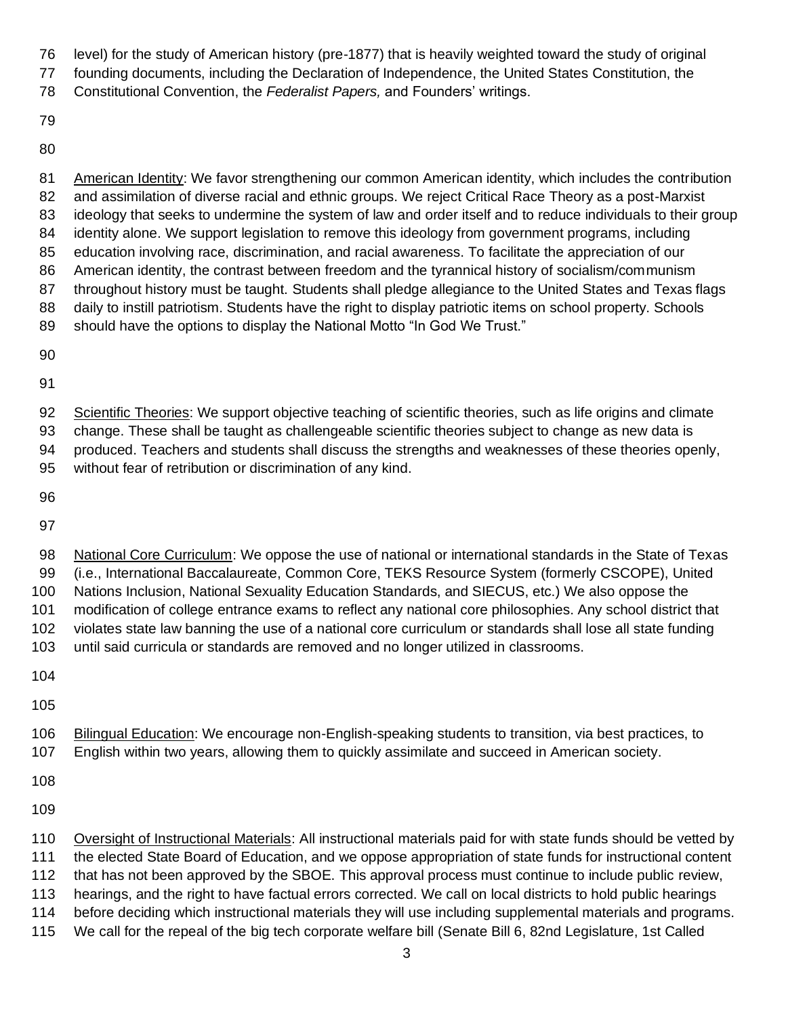level) for the study of American history (pre-1877) that is heavily weighted toward the study of original

founding documents, including the Declaration of Independence, the United States Constitution, the

- Constitutional Convention, the *Federalist Papers,* and Founders' writings.
- 
- 

 American Identity: We favor strengthening our common American identity, which includes the contribution and assimilation of diverse racial and ethnic groups. We reject Critical Race Theory as a post-Marxist ideology that seeks to undermine the system of law and order itself and to reduce individuals to their group 84 identity alone. We support legislation to remove this ideology from government programs, including education involving race, discrimination, and racial awareness. To facilitate the appreciation of our American identity, the contrast between freedom and the tyrannical history of socialism/communism 87 throughout history must be taught. Students shall pledge allegiance to the United States and Texas flags daily to instill patriotism. Students have the right to display patriotic items on school property. Schools should have the options to display the National Motto "In God We Trust."

 Scientific Theories: We support objective teaching of scientific theories, such as life origins and climate change. These shall be taught as challengeable scientific theories subject to change as new data is produced. Teachers and students shall discuss the strengths and weaknesses of these theories openly, without fear of retribution or discrimination of any kind.

 National Core Curriculum: We oppose the use of national or international standards in the State of Texas (i.e., International Baccalaureate, Common Core, TEKS Resource System (formerly CSCOPE), United Nations Inclusion, National Sexuality Education Standards, and SIECUS, etc.) We also oppose the modification of college entrance exams to reflect any national core philosophies. Any school district that violates state law banning the use of a national core curriculum or standards shall lose all state funding until said curricula or standards are removed and no longer utilized in classrooms.

- 
- 

 Bilingual Education: We encourage non-English-speaking students to transition, via best practices, to English within two years, allowing them to quickly assimilate and succeed in American society.

110 Oversight of Instructional Materials: All instructional materials paid for with state funds should be vetted by the elected State Board of Education, and we oppose appropriation of state funds for instructional content that has not been approved by the SBOE. This approval process must continue to include public review, hearings, and the right to have factual errors corrected. We call on local districts to hold public hearings before deciding which instructional materials they will use including supplemental materials and programs. We call for the repeal of the big tech corporate welfare bill (Senate Bill 6, 82nd Legislature, 1st Called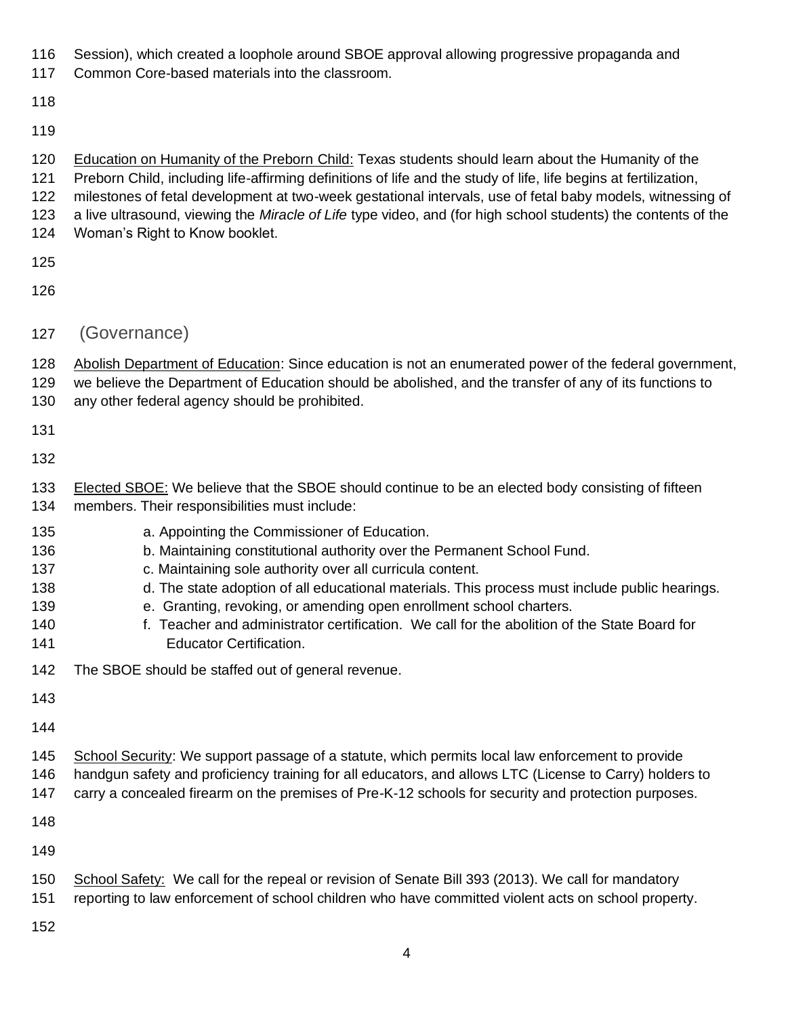- Session), which created a loophole around SBOE approval allowing progressive propaganda and
- Common Core-based materials into the classroom.
- 
- 
- Education on Humanity of the Preborn Child: Texas students should learn about the Humanity of the
- Preborn Child, including life-affirming definitions of life and the study of life, life begins at fertilization,
- milestones of fetal development at two-week gestational intervals, use of fetal baby models, witnessing of
- a live ultrasound, viewing the *Miracle of Life* type video, and (for high school students) the contents of the
- Woman's Right to Know booklet.
- 
- 
- (Governance)
- Abolish Department of Education: Since education is not an enumerated power of the federal government,
- we believe the Department of Education should be abolished, and the transfer of any of its functions to any other federal agency should be prohibited.
- 
- 
- Elected SBOE: We believe that the SBOE should continue to be an elected body consisting of fifteen members. Their responsibilities must include:
- a. Appointing the Commissioner of Education.
- 136 b. Maintaining constitutional authority over the Permanent School Fund.
- c. Maintaining sole authority over all curricula content.
- d. The state adoption of all educational materials. This process must include public hearings.
- e. Granting, revoking, or amending open enrollment school charters.
- f. Teacher and administrator certification. We call for the abolition of the State Board for Educator Certification.
- The SBOE should be staffed out of general revenue.
- 
- 
- School Security: We support passage of a statute, which permits local law enforcement to provide
- handgun safety and proficiency training for all educators, and allows LTC (License to Carry) holders to carry a concealed firearm on the premises of Pre-K-12 schools for security and protection purposes.
- 
- 
- 
- School Safety: We call for the repeal or revision of Senate Bill 393 (2013). We call for mandatory
- reporting to law enforcement of school children who have committed violent acts on school property.
-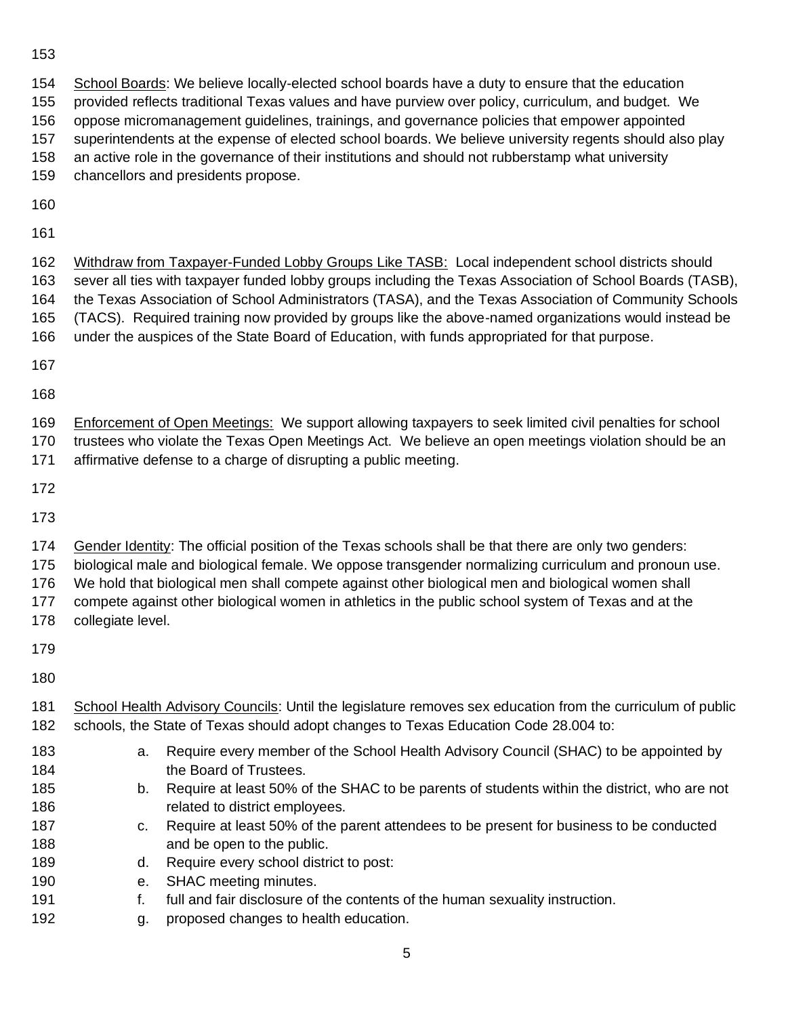- School Boards: We believe locally-elected school boards have a duty to ensure that the education
- provided reflects traditional Texas values and have purview over policy, curriculum, and budget. We
- oppose micromanagement guidelines, trainings, and governance policies that empower appointed
- superintendents at the expense of elected school boards. We believe university regents should also play
- an active role in the governance of their institutions and should not rubberstamp what university
- chancellors and presidents propose.
- 
- 

 Withdraw from Taxpayer-Funded Lobby Groups Like TASB: Local independent school districts should sever all ties with taxpayer funded lobby groups including the Texas Association of School Boards (TASB), the Texas Association of School Administrators (TASA), and the Texas Association of Community Schools (TACS). Required training now provided by groups like the above-named organizations would instead be under the auspices of the State Board of Education, with funds appropriated for that purpose.

 Enforcement of Open Meetings: We support allowing taxpayers to seek limited civil penalties for school trustees who violate the Texas Open Meetings Act. We believe an open meetings violation should be an affirmative defense to a charge of disrupting a public meeting.

Gender Identity: The official position of the Texas schools shall be that there are only two genders:

biological male and biological female. We oppose transgender normalizing curriculum and pronoun use.

We hold that biological men shall compete against other biological men and biological women shall

- compete against other biological women in athletics in the public school system of Texas and at the collegiate level.
- 

- 
- School Health Advisory Councils: Until the legislature removes sex education from the curriculum of public schools, the State of Texas should adopt changes to Texas Education Code 28.004 to:
- a. Require every member of the School Health Advisory Council (SHAC) to be appointed by 184 the Board of Trustees.
- b. Require at least 50% of the SHAC to be parents of students within the district, who are not
- **related to district employees.**  c. Require at least 50% of the parent attendees to be present for business to be conducted **and be open to the public.**
- d. Require every school district to post:
- e. SHAC meeting minutes.
- f. full and fair disclosure of the contents of the human sexuality instruction.
- g. proposed changes to health education.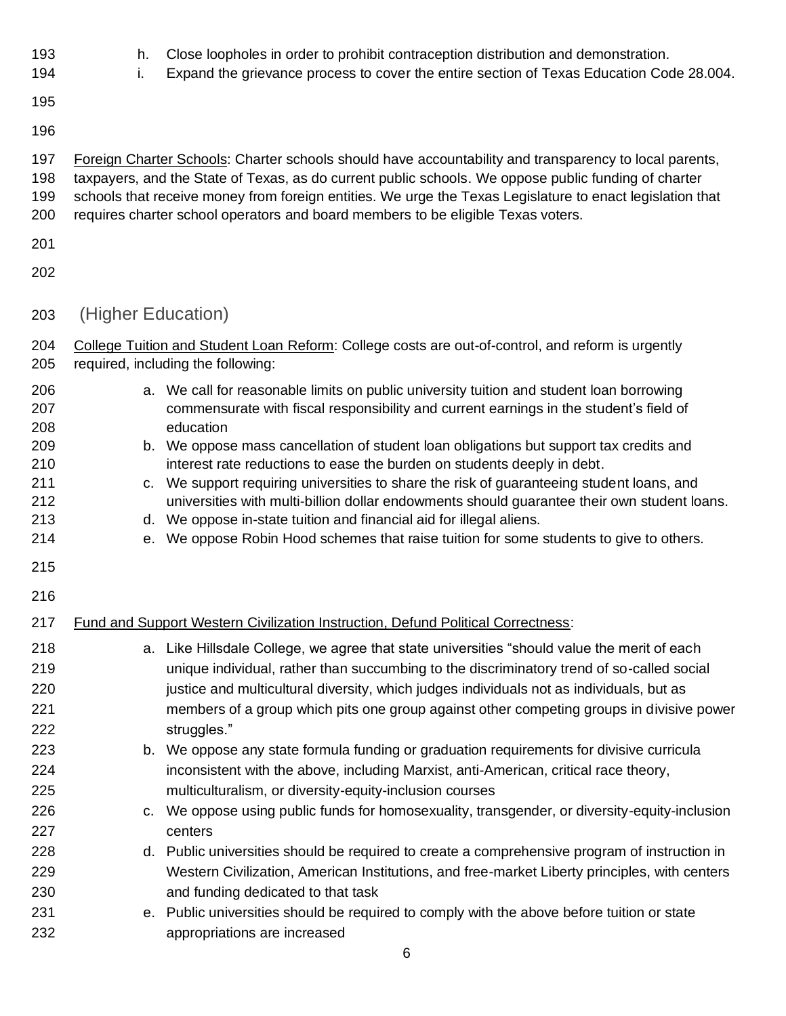- h. Close loopholes in order to prohibit contraception distribution and demonstration.
- 
- i. Expand the grievance process to cover the entire section of Texas Education Code 28.004.
- 
- 

 Foreign Charter Schools: Charter schools should have accountability and transparency to local parents, taxpayers, and the State of Texas, as do current public schools. We oppose public funding of charter schools that receive money from foreign entities. We urge the Texas Legislature to enact legislation that requires charter school operators and board members to be eligible Texas voters.

- 
- 
- (Higher Education)
- College Tuition and Student Loan Reform: College costs are out-of-control, and reform is urgently required, including the following:
- a. We call for reasonable limits on public university tuition and student loan borrowing commensurate with fiscal responsibility and current earnings in the student's field of education
- b. We oppose mass cancellation of student loan obligations but support tax credits and **interest rate reductions to ease the burden on students deeply in debt.**
- c. We support requiring universities to share the risk of guaranteeing student loans, and universities with multi-billion dollar endowments should guarantee their own student loans.
- d. We oppose in-state tuition and financial aid for illegal aliens.
- e. We oppose Robin Hood schemes that raise tuition for some students to give to others.
- 
- 
- Fund and Support Western Civilization Instruction, Defund Political Correctness:
- **218** a. Like Hillsdale College, we agree that state universities "should value the merit of each unique individual, rather than succumbing to the discriminatory trend of so-called social 220 justice and multicultural diversity, which judges individuals not as individuals, but as members of a group which pits one group against other competing groups in divisive power struggles."
- b. We oppose any state formula funding or graduation requirements for divisive curricula inconsistent with the above, including Marxist, anti-American, critical race theory, multiculturalism, or diversity-equity-inclusion courses
- 226 c. We oppose using public funds for homosexuality, transgender, or diversity-equity-inclusion centers
- d. Public universities should be required to create a comprehensive program of instruction in Western Civilization, American Institutions, and free-market Liberty principles, with centers and funding dedicated to that task
- e. Public universities should be required to comply with the above before tuition or state appropriations are increased